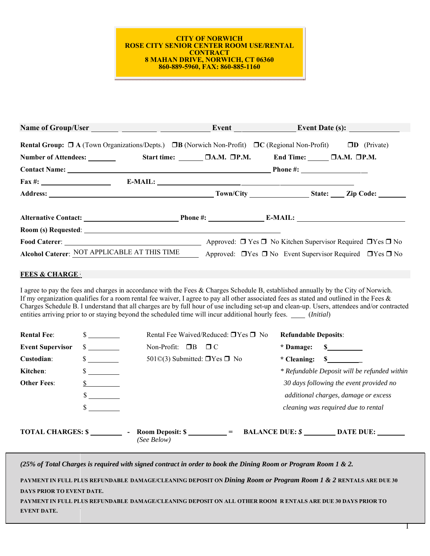#### **CITY OF NORWICH ROSE CITY SENIOR CENTER ROOM USE/RENTAL CONTRACT 8 MAHAN DRIVE, NORWICH, CT 06360 860-889-5960, FAX: 860-885-1160**

|                          | Rental Group: $\Box$ A (Town Organizations/Depts.) $\Box$ B (Norwich Non-Profit) $\Box$ C (Regional Non-Profit) $\Box$ D (Private)                                                                                                                                                                                                                                                                                                                                                                                                                     |                                                     |                             |                             |
|--------------------------|--------------------------------------------------------------------------------------------------------------------------------------------------------------------------------------------------------------------------------------------------------------------------------------------------------------------------------------------------------------------------------------------------------------------------------------------------------------------------------------------------------------------------------------------------------|-----------------------------------------------------|-----------------------------|-----------------------------|
|                          | Number of Attendees: Start time: DA.M. DP.M. End Time: DA.M. DP.M.                                                                                                                                                                                                                                                                                                                                                                                                                                                                                     |                                                     |                             |                             |
|                          |                                                                                                                                                                                                                                                                                                                                                                                                                                                                                                                                                        |                                                     |                             |                             |
|                          |                                                                                                                                                                                                                                                                                                                                                                                                                                                                                                                                                        |                                                     | $E-MAIL:$                   |                             |
|                          |                                                                                                                                                                                                                                                                                                                                                                                                                                                                                                                                                        |                                                     |                             |                             |
|                          |                                                                                                                                                                                                                                                                                                                                                                                                                                                                                                                                                        |                                                     |                             |                             |
|                          |                                                                                                                                                                                                                                                                                                                                                                                                                                                                                                                                                        |                                                     |                             |                             |
|                          |                                                                                                                                                                                                                                                                                                                                                                                                                                                                                                                                                        |                                                     |                             |                             |
|                          | Alcohol Caterer: NOT APPLICABLE AT THIS TIME Approved: □ Yes □ No Event Supervisor Required □ Yes □ No                                                                                                                                                                                                                                                                                                                                                                                                                                                 |                                                     |                             |                             |
| <b>FEES &amp; CHARGE</b> |                                                                                                                                                                                                                                                                                                                                                                                                                                                                                                                                                        |                                                     |                             |                             |
|                          | I agree to pay the fees and charges in accordance with the Fees & Charges Schedule B, established annually by the City of Norwich.<br>If my organization qualifies for a room rental fee waiver, I agree to pay all other associated fees as stated and outlined in the Fees $\&$<br>Charges Schedule B. I understand that all charges are by full hour of use including set-up and clean-up. Users, attendees and/or contracted<br>entities arriving prior to or staying beyond the scheduled time will incur additional hourly fees. _____ (Initial) |                                                     |                             |                             |
| <b>Rental Fee:</b>       | $\frac{\text{S}}{\text{S}}$                                                                                                                                                                                                                                                                                                                                                                                                                                                                                                                            | Rental Fee Waived/Reduced: □Yes □ No                | <b>Refundable Deposits:</b> |                             |
| <b>Event Supervisor</b>  | $\frac{\text{S}}{\text{S}}$                                                                                                                                                                                                                                                                                                                                                                                                                                                                                                                            | Non-Profit: $\Box B$ $\Box C$                       | * Damage:                   | $\frac{\text{S}}{\text{S}}$ |
| Custodian:               | $\frac{\text{S}}{\text{S}}$                                                                                                                                                                                                                                                                                                                                                                                                                                                                                                                            | 501 $\mathbb{C}(3)$ Submitted: $\Box$ Yes $\Box$ No | * Cleaning:                 | $\frac{\sim}{}$             |

**TOTAL CHARGES: \$ - Room Deposit: \$ = BALANCE DUE:** *\$* **DATE DUE:**  *(See Below)*

\$ *\* Refundable Deposit will be refunded within*

(25% of Total Charges is required with signed contract in order to book the Dining Room or Program Room 1 & 2.

**Kitchen**: **Other Fees**:

 $\frac{\sqrt{2}}{2}$ \$ \$

**L DAYS PRIOR TO EVENT DATE. PAYMENT IN FULL PLUS REFUNDABLE DAMAGE/CLEANING DEPOSIT ON** *Dining Room or Program Room 1 & 2* **RENTALS ARE DUE 30** 

**T T PAYMENT IN FULL PLUS REFUNDABLE DAMAGE/CLEANING DEPOSIT ON ALL OTHER ROOM R ENTALS ARE DUE 30 DAYS PRIOR TO EVENT DATE.**

*30 days following the event provided no additional charges, damage or excess cleaning was required due to rental*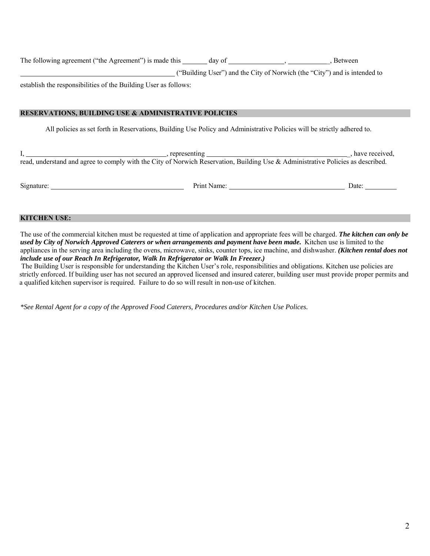| The following agreement ("the Agreement") is made this | day of                                                                    | . Between |
|--------------------------------------------------------|---------------------------------------------------------------------------|-----------|
|                                                        | ("Building User") and the City of Norwich (the "City") and is intended to |           |

establish the responsibilities of the Building User as follows:

# **RESERVATIONS, BUILDING USE & ADMINISTRATIVE POLICIES**

All policies as set forth in Reservations, Building Use Policy and Administrative Policies will be strictly adhered to.

I, include the contract of the contract of the contract of the contract of the contract of the contract of the contract of the contract of the contract of the contract of the contract of the contract of the contract of the read, understand and agree to comply with the City of Norwich Reservation, Building Use & Administrative Policies as described.

Signature: Date: Date: Date: Date: Date: Date: Date: Date: Date: Date: Date: Date: Date: Date: Date: Date: Date: Date: Date: Date: Date: Date: Date: Date: Date: Date: Date: Date: Date: Date: Date: Date: Date: Date: Date: D

# **KITCHEN USE:**

The use of the commercial kitchen must be requested at time of application and appropriate fees will be charged. *The kitchen can only be used by City of Norwich Approved Caterers or when arrangements and payment have been made***.** Kitchen use is limited to the appliances in the serving area including the ovens, microwave, sinks, counter tops, ice machine, and dishwasher. *(Kitchen rental does not include use of our Reach In Refrigerator, Walk In Refrigerator or Walk In Freezer.)* 

 The Building User is responsible for understanding the Kitchen User's role, responsibilities and obligations. Kitchen use policies are strictly enforced. If building user has not secured an approved licensed and insured caterer, building user must provide proper permits and a qualified kitchen supervisor is required. Failure to do so will result in non-use of kitchen.

*\*See Rental Agent for a copy of the Approved Food Caterers, Procedures and/or Kitchen Use Polices.*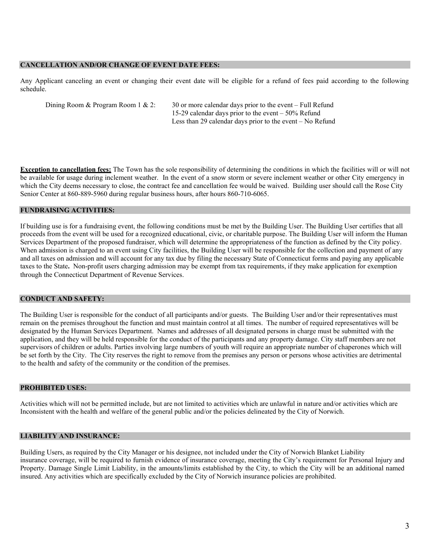#### **CANCELLATION AND/OR CHANGE OF EVENT DATE FEES:**

Any Applicant canceling an event or changing their event date will be eligible for a refund of fees paid according to the following schedule.

| Dining Room & Program Room 1 & 2: | 30 or more calendar days prior to the event $-$ Full Refund |
|-----------------------------------|-------------------------------------------------------------|
|                                   | 15-29 calendar days prior to the event $-50\%$ Refund       |
|                                   | Less than 29 calendar days prior to the event $-$ No Refund |

**Exception to cancellation fees:** The Town has the sole responsibility of determining the conditions in which the facilities will or will not be available for usage during inclement weather. In the event of a snow storm or severe inclement weather or other City emergency in which the City deems necessary to close, the contract fee and cancellation fee would be waived. Building user should call the Rose City Senior Center at 860-889-5960 during regular business hours, after hours 860-710-6065.

## **FUNDRAISING ACTIVITIES:**

If building use is for a fundraising event, the following conditions must be met by the Building User. The Building User certifies that all proceeds from the event will be used for a recognized educational, civic, or charitable purpose. The Building User will inform the Human Services Department of the proposed fundraiser, which will determine the appropriateness of the function as defined by the City policy. When admission is charged to an event using City facilities, the Building User will be responsible for the collection and payment of any and all taxes on admission and will account for any tax due by filing the necessary State of Connecticut forms and paying any applicable taxes to the State**.** Non-profit users charging admission may be exempt from tax requirements, if they make application for exemption through the Connecticut Department of Revenue Services.

## **CONDUCT AND SAFETY:**

The Building User is responsible for the conduct of all participants and/or guests. The Building User and/or their representatives must remain on the premises throughout the function and must maintain control at all times. The number of required representatives will be designated by the Human Services Department. Names and addresses of all designated persons in charge must be submitted with the application, and they will be held responsible for the conduct of the participants and any property damage. City staff members are not supervisors of children or adults. Parties involving large numbers of youth will require an appropriate number of chaperones which will be set forth by the City. The City reserves the right to remove from the premises any person or persons whose activities are detrimental to the health and safety of the community or the condition of the premises.

## **PROHIBITED USES:**

Activities which will not be permitted include, but are not limited to activities which are unlawful in nature and/or activities which are Inconsistent with the health and welfare of the general public and/or the policies delineated by the City of Norwich.

## **LIABILITY AND INSURANCE:**

Building Users, as required by the City Manager or his designee, not included under the City of Norwich Blanket Liability insurance coverage, will be required to furnish evidence of insurance coverage, meeting the City's requirement for Personal Injury and Property. Damage Single Limit Liability, in the amounts/limits established by the City, to which the City will be an additional named insured. Any activities which are specifically excluded by the City of Norwich insurance policies are prohibited.